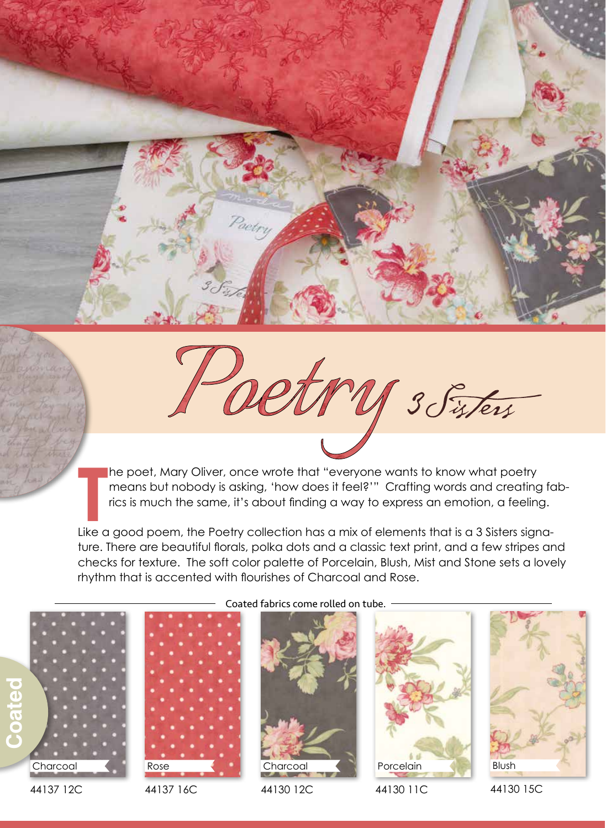he poet, Mary Oliver, once wrote that "everyone wants to know what poetry means but nobody is asking, 'how does it feel?'" Crafting words and creating fabrics is much the same, it's about finding a way to express an emotion, a feeling.

ture. There are beautiful florals, polka dots and a classic text print, and a few stripes and checks for texture. The soft color palette of Porcelain, Blush, Mist and Stone sets a lovely rhythm that is accented with flourishes of Charcoal and Rose.





44137 16C



44130 12C

Porcelain

V 3 Sisters

44130 11C



44130 15C

The poet, Mary Oliver, once wrote that "everyone wants to know what poetry<br>
means but nobody is asking, 'how does it feel?'" Crafting words and creating for<br>
rics is much the same, it's about finding a way to express an em Coated fabrics come rolled on tube.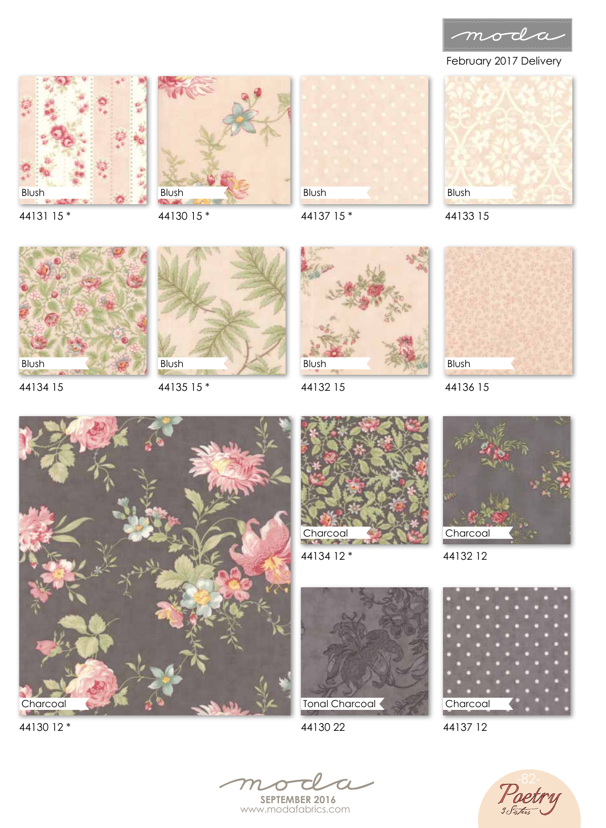

February 2017 Delivery







Blush

44137 15 \*



44133 15



44134 15



44135 15 \*



44132 15



44136 15





44134 12 \*



44132 12









44137 12



**SEPTEMBER 2016** www.modafabrics.com



44130 12 \*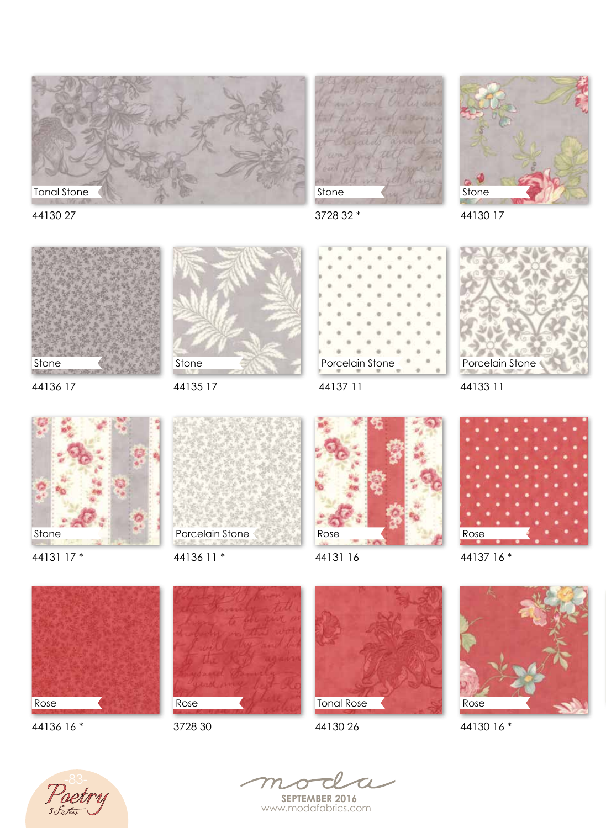

Stone



44130 27



44130 17



44136 17

44135 17



44137 11

Porcelain Stone



44133 11



44131 17 \*



44136 11 \*



44131 16



44137 16 \*



44136 16 \*



3728 30



44130 26



44130 16 \*





**SEPTEMBER 2016** www.modafabrics.com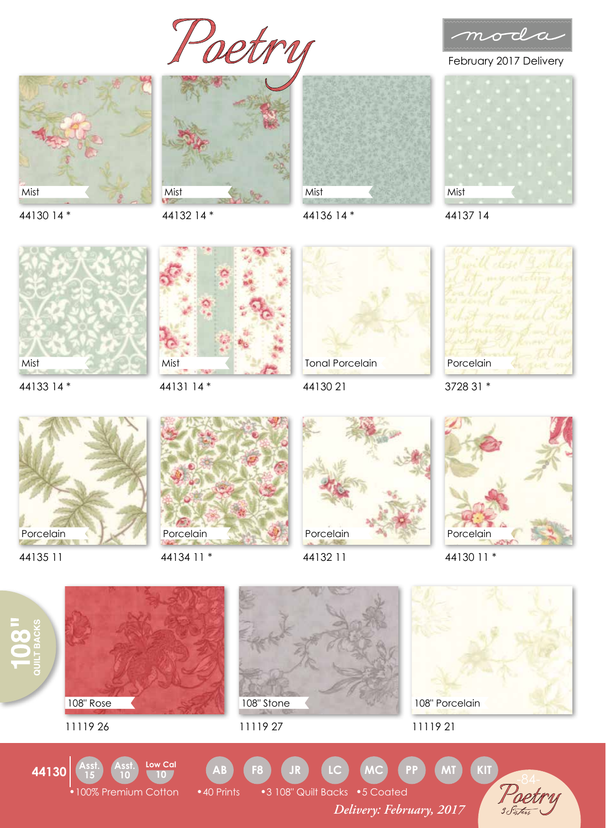detry







44136 14 \*



February 2017 Delivery



44137 14

44130 14 \*

44132 14 \*



44133 14 \*



44131 14 \*



44130 21



3728 31 \*



44135 11



44134 11 \*



44132 11



44130 11 \*

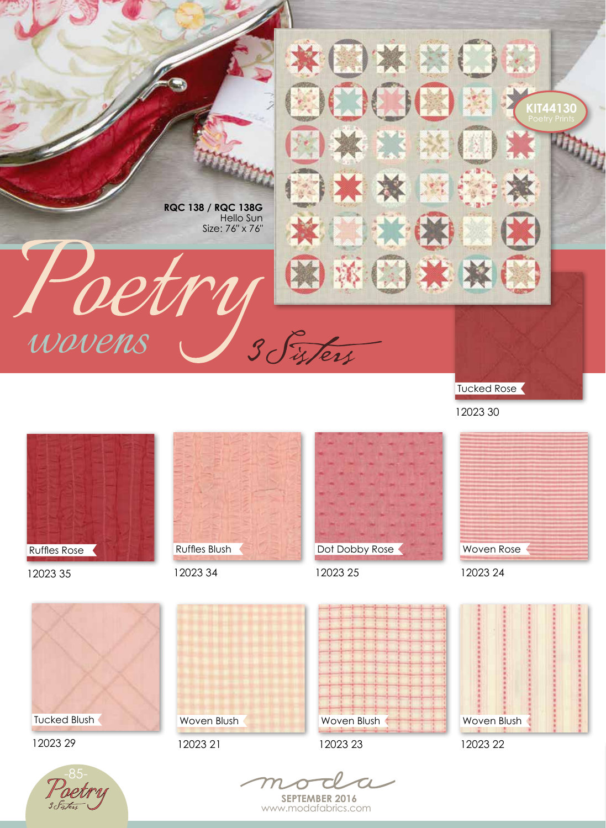

Tucked Rose

12023 30



12023 35



12023 34



12023 25





12023 29





12023 21





12023 22

**SEPTEMBER 2016** www.modafabrics.com